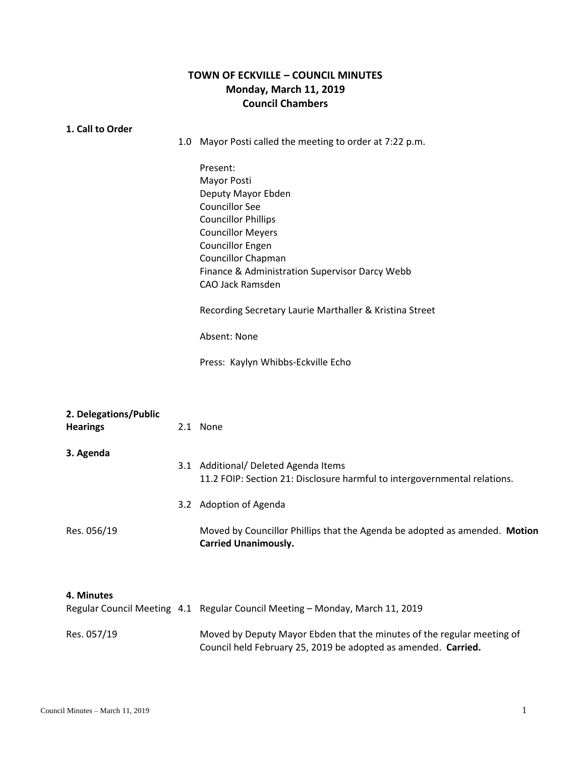## **TOWN OF ECKVILLE – COUNCIL MINUTES Monday, March 11, 2019 Council Chambers**

## **1. 1. Call to Order**

1.0 Mayor Posti called the meeting to order at 7:22 p.m.

Present: Mayor Posti Deputy Mayor Ebden Councillor See Councillor Phillips Councillor Meyers Councillor Engen Councillor Chapman Finance & Administration Supervisor Darcy Webb CAO Jack Ramsden

Recording Secretary Laurie Marthaller & Kristina Street

Absent: None

Press: Kaylyn Whibbs-Eckville Echo

| 2. Delegations/Public<br><b>Hearings</b> | 2.1 None                                                                                                          |
|------------------------------------------|-------------------------------------------------------------------------------------------------------------------|
| 3. Agenda                                | 3.1 Additional/ Deleted Agenda Items<br>11.2 FOIP: Section 21: Disclosure harmful to intergovernmental relations. |
|                                          | 3.2 Adoption of Agenda                                                                                            |
| Res. 056/19                              | Moved by Councillor Phillips that the Agenda be adopted as amended. Motion<br><b>Carried Unanimously.</b>         |

## **4. 4. Minutes**

|             | Regular Council Meeting 4.1 Regular Council Meeting – Monday, March 11, 2019                                                             |
|-------------|------------------------------------------------------------------------------------------------------------------------------------------|
| Res. 057/19 | Moved by Deputy Mayor Ebden that the minutes of the regular meeting of<br>Council held February 25, 2019 be adopted as amended. Carried. |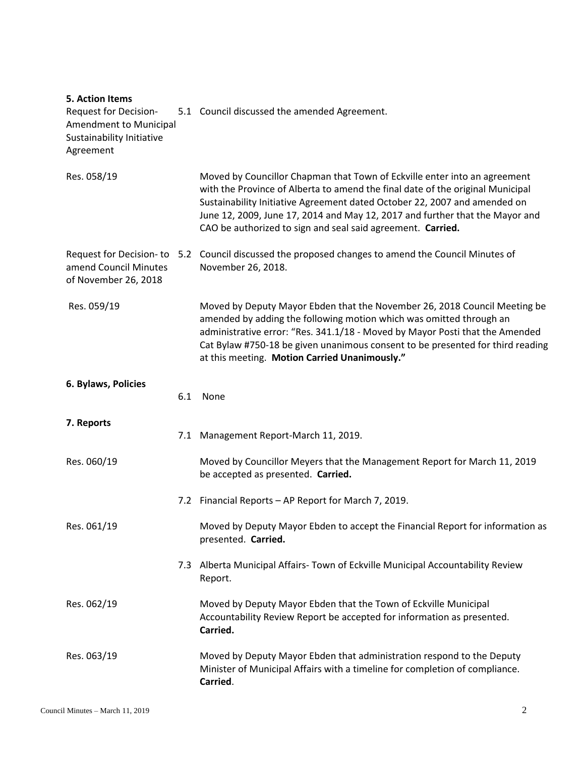| <b>5. Action Items</b><br><b>Request for Decision-</b><br>Amendment to Municipal<br>Sustainability Initiative<br>Agreement |     | 5.1 Council discussed the amended Agreement.                                                                                                                                                                                                                                                                                                                                            |
|----------------------------------------------------------------------------------------------------------------------------|-----|-----------------------------------------------------------------------------------------------------------------------------------------------------------------------------------------------------------------------------------------------------------------------------------------------------------------------------------------------------------------------------------------|
| Res. 058/19                                                                                                                |     | Moved by Councillor Chapman that Town of Eckville enter into an agreement<br>with the Province of Alberta to amend the final date of the original Municipal<br>Sustainability Initiative Agreement dated October 22, 2007 and amended on<br>June 12, 2009, June 17, 2014 and May 12, 2017 and further that the Mayor and<br>CAO be authorized to sign and seal said agreement. Carried. |
| Request for Decision-to<br>amend Council Minutes<br>of November 26, 2018                                                   |     | 5.2 Council discussed the proposed changes to amend the Council Minutes of<br>November 26, 2018.                                                                                                                                                                                                                                                                                        |
| Res. 059/19                                                                                                                |     | Moved by Deputy Mayor Ebden that the November 26, 2018 Council Meeting be<br>amended by adding the following motion which was omitted through an<br>administrative error: "Res. 341.1/18 - Moved by Mayor Posti that the Amended<br>Cat Bylaw #750-18 be given unanimous consent to be presented for third reading<br>at this meeting. Motion Carried Unanimously."                     |
| 6. Bylaws, Policies                                                                                                        | 6.1 | None                                                                                                                                                                                                                                                                                                                                                                                    |
| 7. Reports                                                                                                                 |     | 7.1 Management Report-March 11, 2019.                                                                                                                                                                                                                                                                                                                                                   |
| Res. 060/19                                                                                                                |     | Moved by Councillor Meyers that the Management Report for March 11, 2019<br>be accepted as presented. Carried.                                                                                                                                                                                                                                                                          |
|                                                                                                                            |     | 7.2 Financial Reports - AP Report for March 7, 2019.                                                                                                                                                                                                                                                                                                                                    |
| Res. 061/19                                                                                                                |     | Moved by Deputy Mayor Ebden to accept the Financial Report for information as<br>presented. Carried.                                                                                                                                                                                                                                                                                    |
|                                                                                                                            |     | 7.3 Alberta Municipal Affairs- Town of Eckville Municipal Accountability Review<br>Report.                                                                                                                                                                                                                                                                                              |
| Res. 062/19                                                                                                                |     | Moved by Deputy Mayor Ebden that the Town of Eckville Municipal<br>Accountability Review Report be accepted for information as presented.<br>Carried.                                                                                                                                                                                                                                   |
| Res. 063/19                                                                                                                |     | Moved by Deputy Mayor Ebden that administration respond to the Deputy<br>Minister of Municipal Affairs with a timeline for completion of compliance.<br>Carried.                                                                                                                                                                                                                        |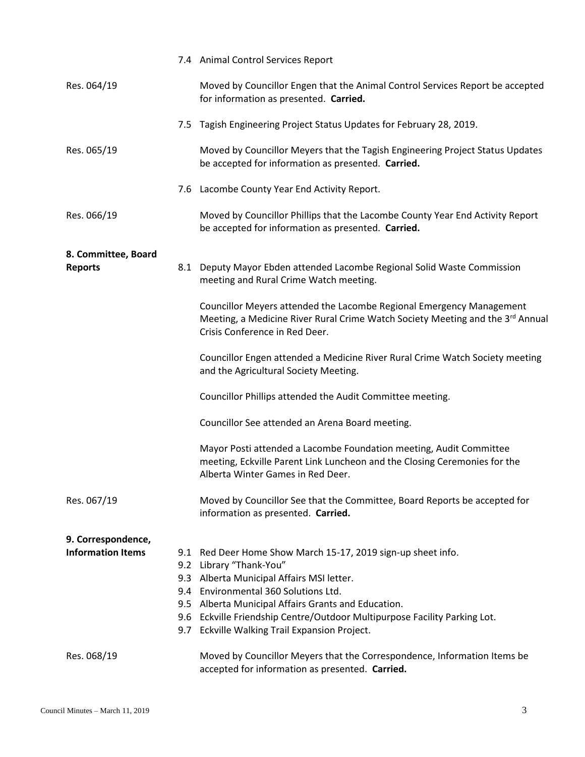|                          | 7.4 Animal Control Services Report                                                                                                                                                       |
|--------------------------|------------------------------------------------------------------------------------------------------------------------------------------------------------------------------------------|
| Res. 064/19              | Moved by Councillor Engen that the Animal Control Services Report be accepted<br>for information as presented. Carried.                                                                  |
|                          | 7.5 Tagish Engineering Project Status Updates for February 28, 2019.                                                                                                                     |
| Res. 065/19              | Moved by Councillor Meyers that the Tagish Engineering Project Status Updates<br>be accepted for information as presented. Carried.                                                      |
|                          | 7.6 Lacombe County Year End Activity Report.                                                                                                                                             |
| Res. 066/19              | Moved by Councillor Phillips that the Lacombe County Year End Activity Report<br>be accepted for information as presented. Carried.                                                      |
| 8. Committee, Board      |                                                                                                                                                                                          |
| <b>Reports</b>           | 8.1 Deputy Mayor Ebden attended Lacombe Regional Solid Waste Commission<br>meeting and Rural Crime Watch meeting.                                                                        |
|                          | Councillor Meyers attended the Lacombe Regional Emergency Management<br>Meeting, a Medicine River Rural Crime Watch Society Meeting and the 3rd Annual<br>Crisis Conference in Red Deer. |
|                          | Councillor Engen attended a Medicine River Rural Crime Watch Society meeting<br>and the Agricultural Society Meeting.                                                                    |
|                          | Councillor Phillips attended the Audit Committee meeting.                                                                                                                                |
|                          | Councillor See attended an Arena Board meeting.                                                                                                                                          |
|                          | Mayor Posti attended a Lacombe Foundation meeting, Audit Committee<br>meeting, Eckville Parent Link Luncheon and the Closing Ceremonies for the<br>Alberta Winter Games in Red Deer.     |
| Res. 067/19              | Moved by Councillor See that the Committee, Board Reports be accepted for<br>information as presented. Carried.                                                                          |
| 9. Correspondence,       |                                                                                                                                                                                          |
| <b>Information Items</b> | 9.1 Red Deer Home Show March 15-17, 2019 sign-up sheet info.                                                                                                                             |
|                          | 9.2 Library "Thank-You"                                                                                                                                                                  |
|                          | 9.3 Alberta Municipal Affairs MSI letter.<br>9.4 Environmental 360 Solutions Ltd.                                                                                                        |
|                          | 9.5 Alberta Municipal Affairs Grants and Education.                                                                                                                                      |
|                          | 9.6 Eckville Friendship Centre/Outdoor Multipurpose Facility Parking Lot.<br>9.7 Eckville Walking Trail Expansion Project.                                                               |
| Res. 068/19              | Moved by Councillor Meyers that the Correspondence, Information Items be<br>accepted for information as presented. Carried.                                                              |